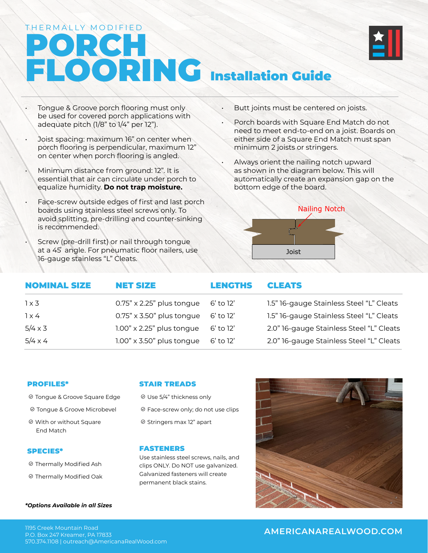# PORCH FLOORING Installation Guide THERMALLY MODIFIED



- Tongue & Groove porch flooring must only be used for covered porch applications with adequate pitch (1/8" to 1/4" per 12").
- Joist spacing: maximum 16" on center when porch flooring is perpendicular, maximum 12" on center when porch flooring is angled.
- Minimum distance from ground: 12". It is essential that air can circulate under porch to equalize humidity. **Do not trap moisture.**
- Face-screw outside edges of first and last porch boards using stainless steel screws only. To avoid splitting, pre-drilling and counter-sinking is recommended.
	- Screw (pre-drill first) or nail through tongue at a 45 ̊ angle. For pneumatic floor nailers, use 16-gauge stainless "L" Cleats.
- Butt joints must be centered on joists.
- Porch boards with Square End Match do not need to meet end-to-end on a joist. Boards on either side of a Square End Match must span minimum 2 joists or stringers.
- Always orient the nailing notch upward as shown in the diagram below. This will automatically create an expansion gap on the bottom edge of the board.



| <b>NOMINAL SIZE</b> | <b>NET SIZE</b>                  | <b>LENGTHS</b> | <b>CLEATS</b>                            |
|---------------------|----------------------------------|----------------|------------------------------------------|
| $1 \times 3$        | $0.75" \times 2.25"$ plus tongue | 6' to 12'      | 1.5" 16-gauge Stainless Steel "L" Cleats |
| $1 \times 4$        | $0.75" \times 3.50"$ plus tongue | 6' to 12'      | 1.5" 16-gauge Stainless Steel "L" Cleats |
| $5/4 \times 3$      | $1.00" \times 2.25"$ plus tongue | 6' to 12'      | 2.0" 16-gauge Stainless Steel "L" Cleats |
| $5/4 \times 4$      | $1.00" \times 3.50"$ plus tongue | 6' to 12'      | 2.0" 16-gauge Stainless Steel "L" Cleats |

### PROFILES\*

- Tongue & Groove Square Edge
- Tongue & Groove Microbevel
- With or without Square End Match

### SPECIES\*

- Thermally Modified Ash
- Thermally Modified Oak

#### *\*Options Available in all Sizes*

### STAIR TREADS

- Use 5/4" thickness only
- Face-screw only; do not use clips
- <sup>⊘</sup> Stringers max 12" apart

### FASTENERS

Use stainless steel screws, nails, and clips ONLY. Do NOT use galvanized. Galvanized fasteners will create permanent black stains.



### **AMERICANAREALWOOD.COM** 1195 Creek Mountain Road

P.O. Box 247 Kreamer, PA 17833 570.374.1108 | outreach@AmericanaRealWood.com